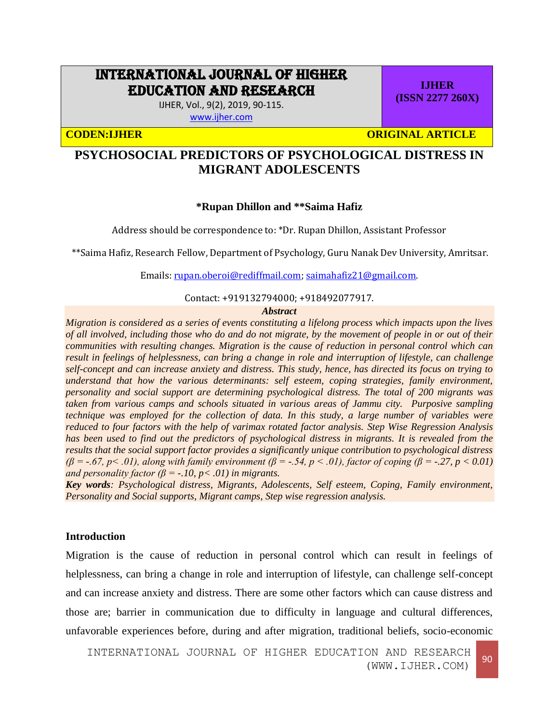# INTERNATIONAL JOURNAL OF HIGHER EDUCATION AND RESEARCH

IJHER, Vol., 9(2), 2019, 90-115. [www.ijher.com](http://www.ijher.com/)

**CODEN:IJHER ORIGINAL ARTICLE** 

**IJHER (ISSN 2277 260X)**

## **PSYCHOSOCIAL PREDICTORS OF PSYCHOLOGICAL DISTRESS IN MIGRANT ADOLESCENTS**

## **\*Rupan Dhillon and \*\*Saima Hafiz**

Address should be correspondence to: \*Dr. Rupan Dhillon, Assistant Professor

\*\*Saima Hafiz, Research Fellow, Department of Psychology, Guru Nanak Dev University, Amritsar.

Emails: [rupan.oberoi@rediffmail.com;](mailto:rupan.oberoi@rediffmail.com) [saimahafiz21@gmail.com.](mailto:saimahafiz21@gmail.com)

#### Contact: +919132794000; +918492077917.

#### *Abstract*

*Migration is considered as a series of events constituting a lifelong process which impacts upon the lives of all involved, including those who do and do not migrate, by the movement of people in or out of their communities with resulting changes. Migration is the cause of reduction in personal control which can result in feelings of helplessness, can bring a change in role and interruption of lifestyle, can challenge self-concept and can increase anxiety and distress. This study, hence, has directed its focus on trying to understand that how the various determinants: self esteem, coping strategies, family environment, personality and social support are determining psychological distress. The total of 200 migrants was taken from various camps and schools situated in various areas of Jammu city. Purposive sampling technique was employed for the collection of data. In this study, a large number of variables were reduced to four factors with the help of varimax rotated factor analysis. Step Wise Regression Analysis has been used to find out the predictors of psychological distress in migrants. It is revealed from the results that the social support factor provides a significantly unique contribution to psychological distress (β = -.67, p< .01), along with family environment (β = -.54, p < .01), factor of coping (β = -.27, p < 0.01) and personality factor (β = -.10, p < .01) in migrants.* 

*Key words: Psychological distress, Migrants, Adolescents, Self esteem, Coping, Family environment, Personality and Social supports, Migrant camps, Step wise regression analysis.* 

## **Introduction**

Migration is the cause of reduction in personal control which can result in feelings of helplessness, can bring a change in role and interruption of lifestyle, can challenge self-concept and can increase anxiety and distress. There are some other factors which can cause distress and those are; barrier in communication due to difficulty in language and cultural differences, unfavorable experiences before, during and after migration, traditional beliefs, socio-economic

INTERNATIONAL JOURNAL OF HIGHER EDUCATION AND RESEARCH (WWW.IJHER.COM) 90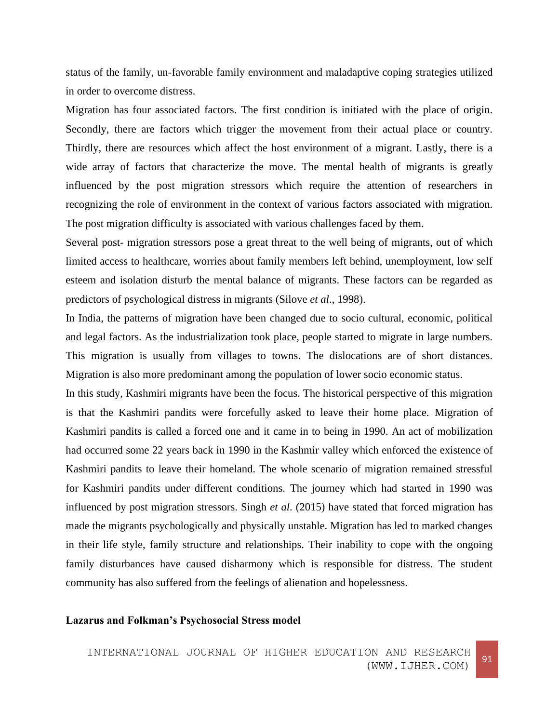status of the family, un-favorable family environment and maladaptive coping strategies utilized in order to overcome distress.

Migration has four associated factors. The first condition is initiated with the place of origin. Secondly, there are factors which trigger the movement from their actual place or country. Thirdly, there are resources which affect the host environment of a migrant. Lastly, there is a wide array of factors that characterize the move. The mental health of migrants is greatly influenced by the post migration stressors which require the attention of researchers in recognizing the role of environment in the context of various factors associated with migration. The post migration difficulty is associated with various challenges faced by them.

Several post- migration stressors pose a great threat to the well being of migrants, out of which limited access to healthcare, worries about family members left behind, unemployment, low self esteem and isolation disturb the mental balance of migrants. These factors can be regarded as predictors of psychological distress in migrants (Silove *et al*., 1998).

In India, the patterns of migration have been changed due to socio cultural, economic, political and legal factors. As the industrialization took place, people started to migrate in large numbers. This migration is usually from villages to towns. The dislocations are of short distances. Migration is also more predominant among the population of lower socio economic status.

In this study, Kashmiri migrants have been the focus. The historical perspective of this migration is that the Kashmiri pandits were forcefully asked to leave their home place. Migration of Kashmiri pandits is called a forced one and it came in to being in 1990. An act of mobilization had occurred some 22 years back in 1990 in the Kashmir valley which enforced the existence of Kashmiri pandits to leave their homeland. The whole scenario of migration remained stressful for Kashmiri pandits under different conditions. The journey which had started in 1990 was influenced by post migration stressors. Singh *et al*. (2015) have stated that forced migration has made the migrants psychologically and physically unstable. Migration has led to marked changes in their life style, family structure and relationships. Their inability to cope with the ongoing family disturbances have caused disharmony which is responsible for distress. The student community has also suffered from the feelings of alienation and hopelessness.

## **Lazarus and Folkman's Psychosocial Stress model**

INTERNATIONAL JOURNAL OF HIGHER EDUCATION AND RESEARCH (WWW.IJHER.COM)<sup>91</sup>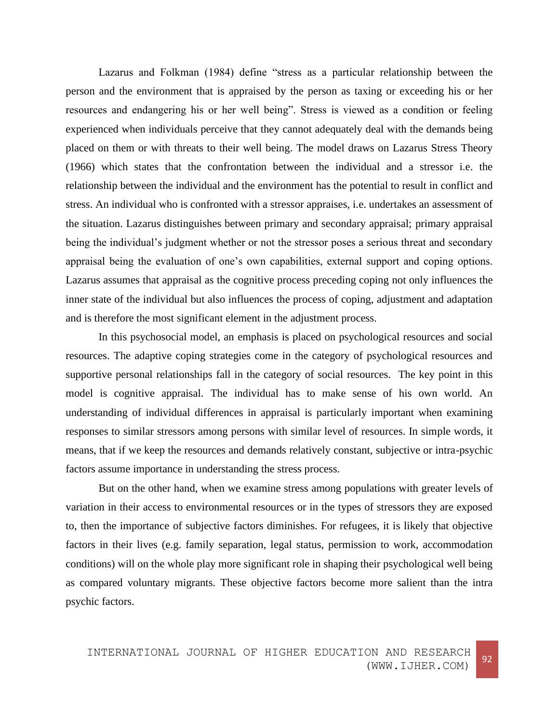Lazarus and Folkman (1984) define "stress as a particular relationship between the person and the environment that is appraised by the person as taxing or exceeding his or her resources and endangering his or her well being". Stress is viewed as a condition or feeling experienced when individuals perceive that they cannot adequately deal with the demands being placed on them or with threats to their well being. The model draws on Lazarus Stress Theory (1966) which states that the confrontation between the individual and a stressor i.e. the relationship between the individual and the environment has the potential to result in conflict and stress. An individual who is confronted with a stressor appraises, i.e. undertakes an assessment of the situation. Lazarus distinguishes between primary and secondary appraisal; primary appraisal being the individual's judgment whether or not the stressor poses a serious threat and secondary appraisal being the evaluation of one's own capabilities, external support and coping options. Lazarus assumes that appraisal as the cognitive process preceding coping not only influences the inner state of the individual but also influences the process of coping, adjustment and adaptation and is therefore the most significant element in the adjustment process.

In this psychosocial model, an emphasis is placed on psychological resources and social resources. The adaptive coping strategies come in the category of psychological resources and supportive personal relationships fall in the category of social resources. The key point in this model is cognitive appraisal. The individual has to make sense of his own world. An understanding of individual differences in appraisal is particularly important when examining responses to similar stressors among persons with similar level of resources. In simple words, it means, that if we keep the resources and demands relatively constant, subjective or intra-psychic factors assume importance in understanding the stress process.

But on the other hand, when we examine stress among populations with greater levels of variation in their access to environmental resources or in the types of stressors they are exposed to, then the importance of subjective factors diminishes. For refugees, it is likely that objective factors in their lives (e.g. family separation, legal status, permission to work, accommodation conditions) will on the whole play more significant role in shaping their psychological well being as compared voluntary migrants. These objective factors become more salient than the intra psychic factors.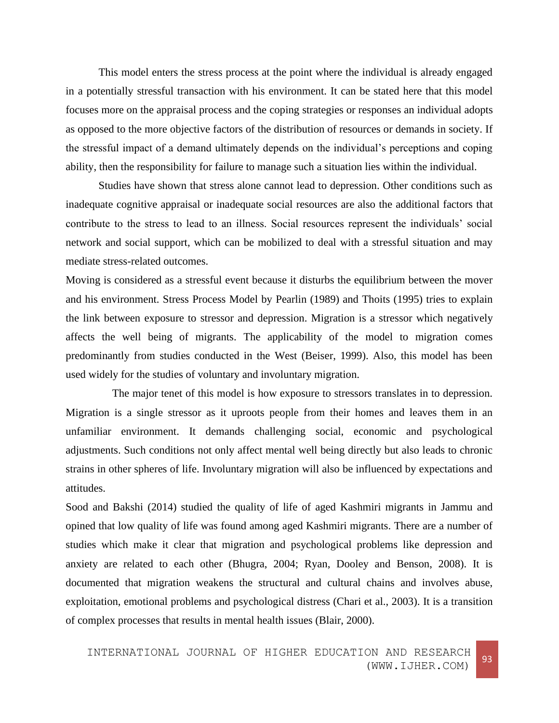This model enters the stress process at the point where the individual is already engaged in a potentially stressful transaction with his environment. It can be stated here that this model focuses more on the appraisal process and the coping strategies or responses an individual adopts as opposed to the more objective factors of the distribution of resources or demands in society. If the stressful impact of a demand ultimately depends on the individual's perceptions and coping ability, then the responsibility for failure to manage such a situation lies within the individual.

Studies have shown that stress alone cannot lead to depression. Other conditions such as inadequate cognitive appraisal or inadequate social resources are also the additional factors that contribute to the stress to lead to an illness. Social resources represent the individuals' social network and social support, which can be mobilized to deal with a stressful situation and may mediate stress-related outcomes.

Moving is considered as a stressful event because it disturbs the equilibrium between the mover and his environment. Stress Process Model by Pearlin (1989) and Thoits (1995) tries to explain the link between exposure to stressor and depression. Migration is a stressor which negatively affects the well being of migrants. The applicability of the model to migration comes predominantly from studies conducted in the West (Beiser, 1999). Also, this model has been used widely for the studies of voluntary and involuntary migration.

 The major tenet of this model is how exposure to stressors translates in to depression. Migration is a single stressor as it uproots people from their homes and leaves them in an unfamiliar environment. It demands challenging social, economic and psychological adjustments. Such conditions not only affect mental well being directly but also leads to chronic strains in other spheres of life. Involuntary migration will also be influenced by expectations and attitudes.

Sood and Bakshi (2014) studied the quality of life of aged Kashmiri migrants in Jammu and opined that low quality of life was found among aged Kashmiri migrants. There are a number of studies which make it clear that migration and psychological problems like depression and anxiety are related to each other (Bhugra, 2004; Ryan, Dooley and Benson, 2008). It is documented that migration weakens the structural and cultural chains and involves abuse, exploitation, emotional problems and psychological distress (Chari et al., 2003). It is a transition of complex processes that results in mental health issues (Blair, 2000).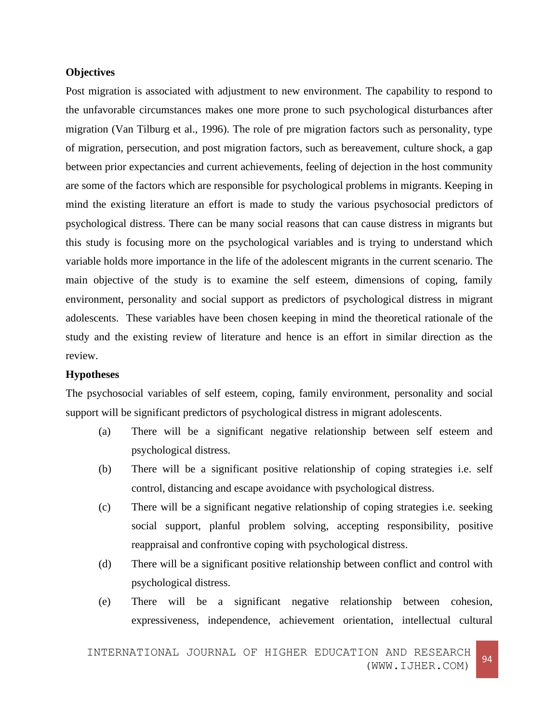## **Objectives**

Post migration is associated with adjustment to new environment. The capability to respond to the unfavorable circumstances makes one more prone to such psychological disturbances after migration (Van Tilburg et al., 1996). The role of pre migration factors such as personality, type of migration, persecution, and post migration factors, such as bereavement, culture shock, a gap between prior expectancies and current achievements, feeling of dejection in the host community are some of the factors which are responsible for psychological problems in migrants. Keeping in mind the existing literature an effort is made to study the various psychosocial predictors of psychological distress. There can be many social reasons that can cause distress in migrants but this study is focusing more on the psychological variables and is trying to understand which variable holds more importance in the life of the adolescent migrants in the current scenario. The main objective of the study is to examine the self esteem, dimensions of coping, family environment, personality and social support as predictors of psychological distress in migrant adolescents. These variables have been chosen keeping in mind the theoretical rationale of the study and the existing review of literature and hence is an effort in similar direction as the review.

#### **Hypotheses**

The psychosocial variables of self esteem, coping, family environment, personality and social support will be significant predictors of psychological distress in migrant adolescents.

- (a) There will be a significant negative relationship between self esteem and psychological distress.
- (b) There will be a significant positive relationship of coping strategies i.e. self control, distancing and escape avoidance with psychological distress.
- (c) There will be a significant negative relationship of coping strategies i.e. seeking social support, planful problem solving, accepting responsibility, positive reappraisal and confrontive coping with psychological distress.
- (d) There will be a significant positive relationship between conflict and control with psychological distress.
- (e) There will be a significant negative relationship between cohesion, expressiveness, independence, achievement orientation, intellectual cultural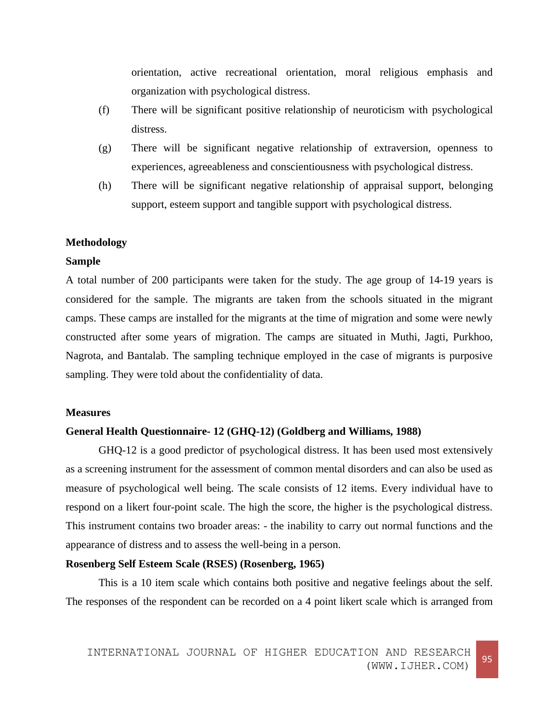orientation, active recreational orientation, moral religious emphasis and organization with psychological distress.

- (f) There will be significant positive relationship of neuroticism with psychological distress.
- (g) There will be significant negative relationship of extraversion, openness to experiences, agreeableness and conscientiousness with psychological distress.
- (h) There will be significant negative relationship of appraisal support, belonging support, esteem support and tangible support with psychological distress.

## **Methodology**

## **Sample**

A total number of 200 participants were taken for the study. The age group of 14-19 years is considered for the sample. The migrants are taken from the schools situated in the migrant camps. These camps are installed for the migrants at the time of migration and some were newly constructed after some years of migration. The camps are situated in Muthi, Jagti, Purkhoo, Nagrota, and Bantalab. The sampling technique employed in the case of migrants is purposive sampling. They were told about the confidentiality of data.

#### **Measures**

### **General Health Questionnaire- 12 (GHQ-12) (Goldberg and Williams, 1988)**

GHQ-12 is a good predictor of psychological distress. It has been used most extensively as a screening instrument for the assessment of common mental disorders and can also be used as measure of psychological well being. The scale consists of 12 items. Every individual have to respond on a likert four-point scale. The high the score, the higher is the psychological distress. This instrument contains two broader areas: - the inability to carry out normal functions and the appearance of distress and to assess the well-being in a person.

## **Rosenberg Self Esteem Scale (RSES) (Rosenberg, 1965)**

This is a 10 item scale which contains both positive and negative feelings about the self. The responses of the respondent can be recorded on a 4 point likert scale which is arranged from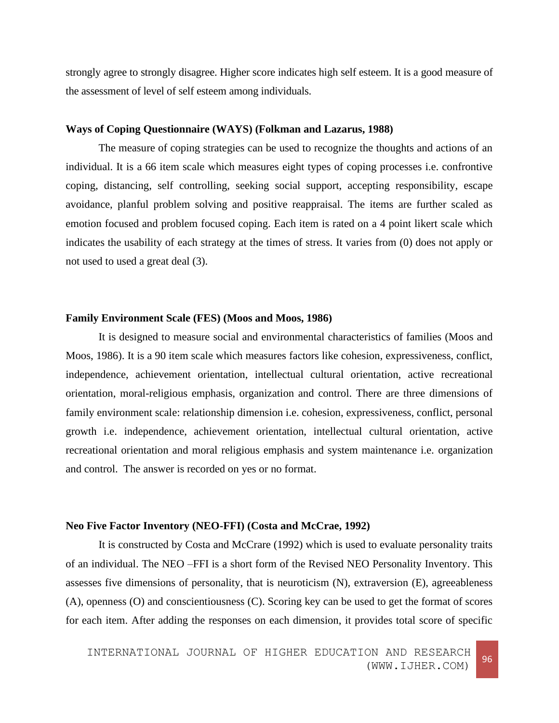strongly agree to strongly disagree. Higher score indicates high self esteem. It is a good measure of the assessment of level of self esteem among individuals.

#### **Ways of Coping Questionnaire (WAYS) (Folkman and Lazarus, 1988)**

The measure of coping strategies can be used to recognize the thoughts and actions of an individual. It is a 66 item scale which measures eight types of coping processes i.e. confrontive coping, distancing, self controlling, seeking social support, accepting responsibility, escape avoidance, planful problem solving and positive reappraisal. The items are further scaled as emotion focused and problem focused coping. Each item is rated on a 4 point likert scale which indicates the usability of each strategy at the times of stress. It varies from (0) does not apply or not used to used a great deal (3).

## **Family Environment Scale (FES) (Moos and Moos, 1986)**

It is designed to measure social and environmental characteristics of families (Moos and Moos, 1986). It is a 90 item scale which measures factors like cohesion, expressiveness, conflict, independence, achievement orientation, intellectual cultural orientation, active recreational orientation, moral-religious emphasis, organization and control. There are three dimensions of family environment scale: relationship dimension i.e. cohesion, expressiveness, conflict, personal growth i.e. independence, achievement orientation, intellectual cultural orientation, active recreational orientation and moral religious emphasis and system maintenance i.e. organization and control. The answer is recorded on yes or no format.

#### **Neo Five Factor Inventory (NEO-FFI) (Costa and McCrae, 1992)**

It is constructed by Costa and McCrare (1992) which is used to evaluate personality traits of an individual. The NEO –FFI is a short form of the Revised NEO Personality Inventory. This assesses five dimensions of personality, that is neuroticism (N), extraversion (E), agreeableness (A), openness (O) and conscientiousness (C). Scoring key can be used to get the format of scores for each item. After adding the responses on each dimension, it provides total score of specific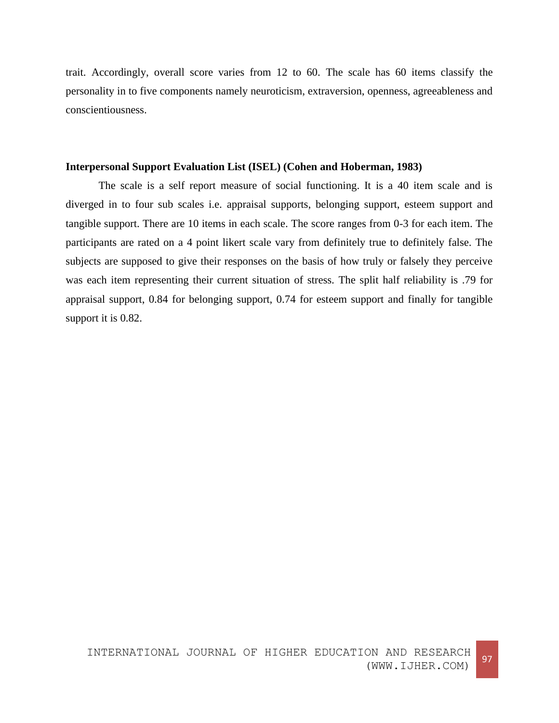trait. Accordingly, overall score varies from 12 to 60. The scale has 60 items classify the personality in to five components namely neuroticism, extraversion, openness, agreeableness and conscientiousness.

## **Interpersonal Support Evaluation List (ISEL) (Cohen and Hoberman, 1983)**

The scale is a self report measure of social functioning. It is a 40 item scale and is diverged in to four sub scales i.e. appraisal supports, belonging support, esteem support and tangible support. There are 10 items in each scale. The score ranges from 0-3 for each item. The participants are rated on a 4 point likert scale vary from definitely true to definitely false. The subjects are supposed to give their responses on the basis of how truly or falsely they perceive was each item representing their current situation of stress. The split half reliability is .79 for appraisal support, 0.84 for belonging support, 0.74 for esteem support and finally for tangible support it is 0.82.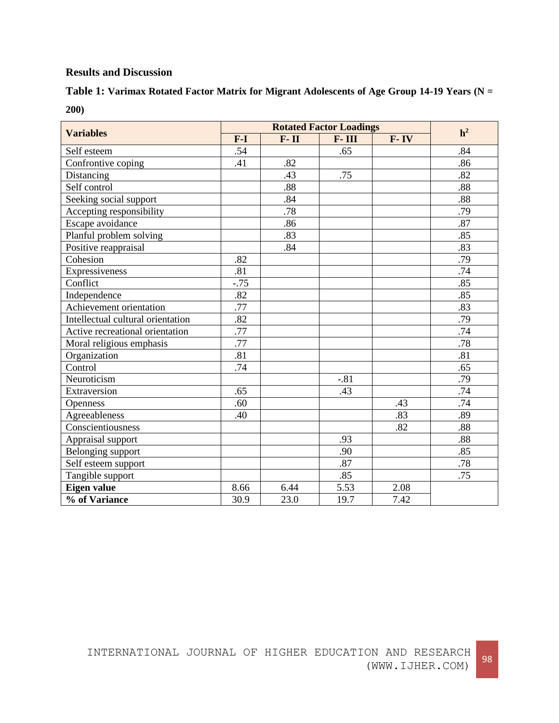## **Results and Discussion**

| Table 1: Varimax Rotated Factor Matrix for Migrant Adolescents of Age Group 14-19 Years (N = |  |
|----------------------------------------------------------------------------------------------|--|
| 200)                                                                                         |  |

| <b>Variables</b>                  |                  | h <sup>2</sup> |        |          |     |
|-----------------------------------|------------------|----------------|--------|----------|-----|
|                                   | $F-I$            | $F - II$       | F-III  | $F - IV$ |     |
| Self esteem                       | .54              |                | .65    |          | .84 |
| Confrontive coping                | .41              | .82            |        |          | .86 |
| Distancing                        |                  | .43            | .75    |          | .82 |
| Self control                      |                  | .88            |        |          | .88 |
| Seeking social support            |                  | .84            |        |          | .88 |
| Accepting responsibility          |                  | .78            |        |          | .79 |
| Escape avoidance                  |                  | .86            |        |          | .87 |
| Planful problem solving           |                  | .83            |        |          | .85 |
| Positive reappraisal              |                  | .84            |        |          | .83 |
| Cohesion                          | .82              |                |        |          | .79 |
| Expressiveness                    | .81              |                |        |          | .74 |
| Conflict                          | $-.75$           |                |        |          | .85 |
| Independence                      | .82              |                |        |          | .85 |
| Achievement orientation           | .77              |                |        |          | .83 |
| Intellectual cultural orientation | .82              |                |        |          | .79 |
| Active recreational orientation   | $\overline{.77}$ |                |        |          | .74 |
| Moral religious emphasis          | .77              |                |        |          | .78 |
| Organization                      | .81              |                |        |          | .81 |
| Control                           | .74              |                |        |          | .65 |
| Neuroticism                       |                  |                | $-.81$ |          | .79 |
| Extraversion                      | .65              |                | .43    |          | .74 |
| Openness                          | .60              |                |        | .43      | .74 |
| Agreeableness                     | .40              |                |        | .83      | .89 |
| Conscientiousness                 |                  |                |        | .82      | .88 |
| Appraisal support                 |                  |                | .93    |          | .88 |
| Belonging support                 |                  |                | .90    |          | .85 |
| Self esteem support               |                  |                | .87    |          | .78 |
| Tangible support                  |                  |                | .85    |          | .75 |
| <b>Eigen value</b>                | 8.66             | 6.44           | 5.53   | 2.08     |     |
| % of Variance                     | 30.9             | 23.0           | 19.7   | 7.42     |     |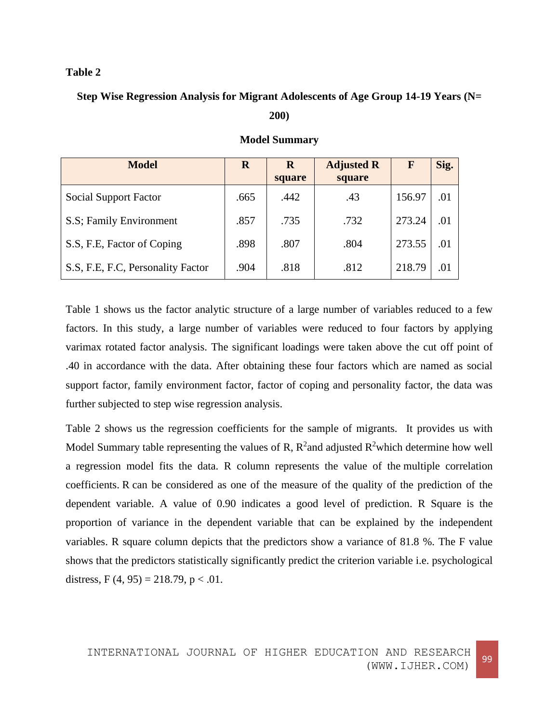## **Table 2**

## **Step Wise Regression Analysis for Migrant Adolescents of Age Group 14-19 Years (N= 200)**

| <b>Model</b>                         | R    | <b>Adjusted R</b><br>$\bf{R}$<br>square<br>square |      | F      | Sig. |
|--------------------------------------|------|---------------------------------------------------|------|--------|------|
| <b>Social Support Factor</b>         | .665 | .442                                              | .43  | 156.97 | .01  |
| S.S; Family Environment              | .857 | .735                                              | .732 | 273.24 | .01  |
| S.S. F.E. Factor of Coping           | .898 | .807                                              | .804 | 273.55 | .01  |
| S.S., F.E., F.C., Personality Factor | .904 | .818                                              | .812 | 218.79 | .01  |

## **Model Summary**

Table 1 shows us the factor analytic structure of a large number of variables reduced to a few factors. In this study, a large number of variables were reduced to four factors by applying varimax rotated factor analysis. The significant loadings were taken above the cut off point of .40 in accordance with the data. After obtaining these four factors which are named as social support factor, family environment factor, factor of coping and personality factor, the data was further subjected to step wise regression analysis.

Table 2 shows us the regression coefficients for the sample of migrants. It provides us with Model Summary table representing the values of R,  $R^2$  and adjusted  $R^2$  which determine how well a regression model fits the data. R column represents the value of the multiple correlation coefficients. R can be considered as one of the measure of the quality of the prediction of the dependent variable. A value of 0.90 indicates a good level of prediction. R Square is the proportion of variance in the dependent variable that can be explained by the independent variables. R square column depicts that the predictors show a variance of 81.8 %. The F value shows that the predictors statistically significantly predict the criterion variable i.e. psychological distress,  $F(4, 95) = 218.79$ ,  $p < .01$ .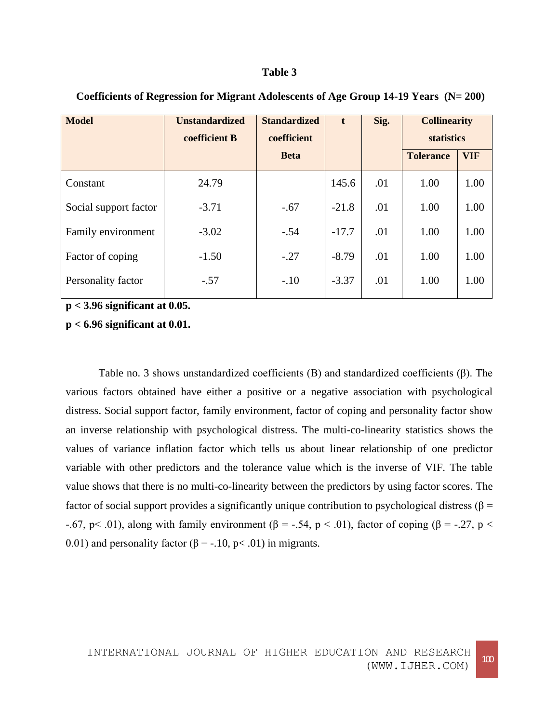#### **Table 3**

| <b>Unstandardized</b> | <b>Standardized</b> | $\mathbf{t}$ | Sig. | <b>Collinearity</b> |            |
|-----------------------|---------------------|--------------|------|---------------------|------------|
| coefficient B         | coefficient         |              |      | <b>statistics</b>   |            |
|                       | <b>Beta</b>         |              |      | <b>Tolerance</b>    | <b>VIF</b> |
| 24.79                 |                     | 145.6        | .01  | 1.00                | 1.00       |
| $-3.71$               | $-.67$              | $-21.8$      | .01  | 1.00                | 1.00       |
| $-3.02$               | $-.54$              | $-17.7$      | .01  | 1.00                | 1.00       |
| $-1.50$               | $-.27$              | $-8.79$      | .01  | 1.00                | 1.00       |
| $-.57$                | $-.10$              | $-3.37$      | .01  | 1.00                | 1.00       |
|                       |                     |              |      |                     |            |

**Coefficients of Regression for Migrant Adolescents of Age Group 14-19 Years (N= 200)**

**p < 3.96 significant at 0.05.**

## **p < 6.96 significant at 0.01.**

Table no. 3 shows unstandardized coefficients  $(B)$  and standardized coefficients  $(\beta)$ . The various factors obtained have either a positive or a negative association with psychological distress. Social support factor, family environment, factor of coping and personality factor show an inverse relationship with psychological distress. The multi-co-linearity statistics shows the values of variance inflation factor which tells us about linear relationship of one predictor variable with other predictors and the tolerance value which is the inverse of VIF. The table value shows that there is no multi-co-linearity between the predictors by using factor scores. The factor of social support provides a significantly unique contribution to psychological distress ( $\beta$  = -.67, p < .01), along with family environment ( $\beta$  = -.54, p < .01), factor of coping ( $\beta$  = -.27, p < 0.01) and personality factor ( $\beta$  = -.10, p < .01) in migrants.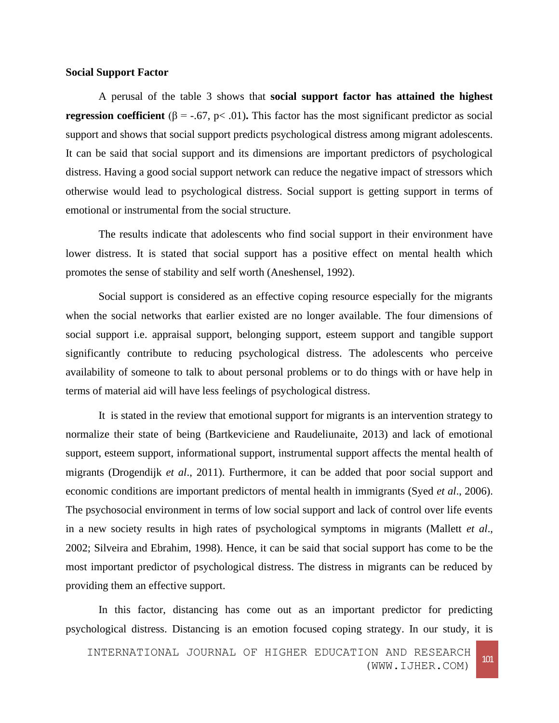#### **Social Support Factor**

A perusal of the table 3 shows that **social support factor has attained the highest regression coefficient**  $(\beta = -.67, p < .01)$ . This factor has the most significant predictor as social support and shows that social support predicts psychological distress among migrant adolescents. It can be said that social support and its dimensions are important predictors of psychological distress. Having a good social support network can reduce the negative impact of stressors which otherwise would lead to psychological distress. Social support is getting support in terms of emotional or instrumental from the social structure.

The results indicate that adolescents who find social support in their environment have lower distress. It is stated that social support has a positive effect on mental health which promotes the sense of stability and self worth (Aneshensel, 1992).

Social support is considered as an effective coping resource especially for the migrants when the social networks that earlier existed are no longer available. The four dimensions of social support i.e. appraisal support, belonging support, esteem support and tangible support significantly contribute to reducing psychological distress. The adolescents who perceive availability of someone to talk to about personal problems or to do things with or have help in terms of material aid will have less feelings of psychological distress.

It is stated in the review that emotional support for migrants is an intervention strategy to normalize their state of being (Bartkeviciene and Raudeliunaite, 2013) and lack of emotional support, esteem support, informational support, instrumental support affects the mental health of migrants (Drogendijk *et al*., 2011). Furthermore, it can be added that poor social support and economic conditions are important predictors of mental health in immigrants (Syed *et al*., 2006). The psychosocial environment in terms of low social support and lack of control over life events in a new society results in high rates of psychological symptoms in migrants (Mallett *et al*., 2002; Silveira and Ebrahim, 1998). Hence, it can be said that social support has come to be the most important predictor of psychological distress. The distress in migrants can be reduced by providing them an effective support.

In this factor, distancing has come out as an important predictor for predicting psychological distress. Distancing is an emotion focused coping strategy. In our study, it is

INTERNATIONAL JOURNAL OF HIGHER EDUCATION AND RESEARCH (WWW.IJHER.COM) <sup>101</sup>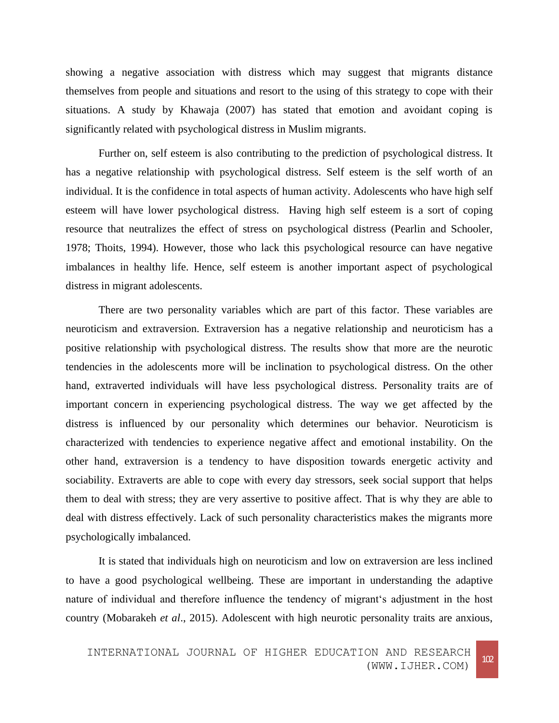showing a negative association with distress which may suggest that migrants distance themselves from people and situations and resort to the using of this strategy to cope with their situations. A study by Khawaja (2007) has stated that emotion and avoidant coping is significantly related with psychological distress in Muslim migrants.

Further on, self esteem is also contributing to the prediction of psychological distress. It has a negative relationship with psychological distress. Self esteem is the self worth of an individual. It is the confidence in total aspects of human activity. Adolescents who have high self esteem will have lower psychological distress. Having high self esteem is a sort of coping resource that neutralizes the effect of stress on psychological distress (Pearlin and Schooler, 1978; Thoits, 1994). However, those who lack this psychological resource can have negative imbalances in healthy life. Hence, self esteem is another important aspect of psychological distress in migrant adolescents.

There are two personality variables which are part of this factor. These variables are neuroticism and extraversion. Extraversion has a negative relationship and neuroticism has a positive relationship with psychological distress. The results show that more are the neurotic tendencies in the adolescents more will be inclination to psychological distress. On the other hand, extraverted individuals will have less psychological distress. Personality traits are of important concern in experiencing psychological distress. The way we get affected by the distress is influenced by our personality which determines our behavior. Neuroticism is characterized with tendencies to experience negative affect and emotional instability. On the other hand, extraversion is a tendency to have disposition towards energetic activity and sociability. Extraverts are able to cope with every day stressors, seek social support that helps them to deal with stress; they are very assertive to positive affect. That is why they are able to deal with distress effectively. Lack of such personality characteristics makes the migrants more psychologically imbalanced.

It is stated that individuals high on neuroticism and low on extraversion are less inclined to have a good psychological wellbeing. These are important in understanding the adaptive nature of individual and therefore influence the tendency of migrant's adjustment in the host country (Mobarakeh *et al*., 2015). Adolescent with high neurotic personality traits are anxious,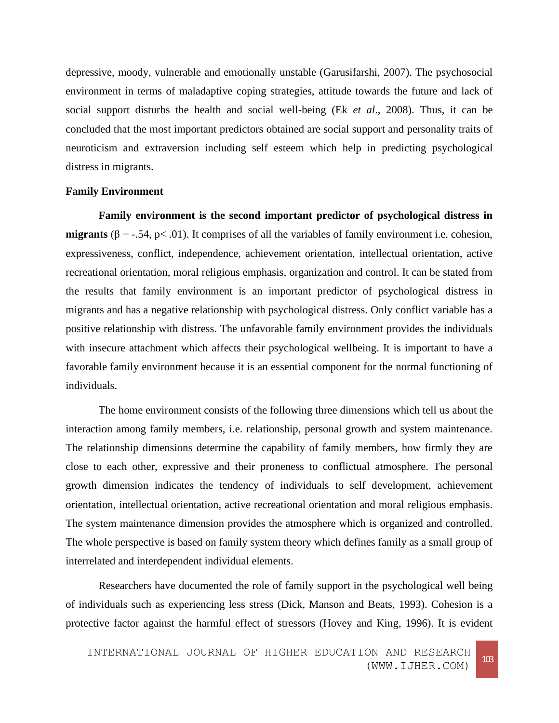depressive, moody, vulnerable and emotionally unstable (Garusifarshi, 2007). The psychosocial environment in terms of maladaptive coping strategies, attitude towards the future and lack of social support disturbs the health and social well-being (Ek *et al*., 2008). Thus, it can be concluded that the most important predictors obtained are social support and personality traits of neuroticism and extraversion including self esteem which help in predicting psychological distress in migrants.

#### **Family Environment**

**Family environment is the second important predictor of psychological distress in migrants**  $(\beta = -0.54, \beta < 0.01)$ . It comprises of all the variables of family environment i.e. cohesion, expressiveness, conflict, independence, achievement orientation, intellectual orientation, active recreational orientation, moral religious emphasis, organization and control. It can be stated from the results that family environment is an important predictor of psychological distress in migrants and has a negative relationship with psychological distress. Only conflict variable has a positive relationship with distress. The unfavorable family environment provides the individuals with insecure attachment which affects their psychological wellbeing. It is important to have a favorable family environment because it is an essential component for the normal functioning of individuals.

The home environment consists of the following three dimensions which tell us about the interaction among family members, i.e. relationship, personal growth and system maintenance. The relationship dimensions determine the capability of family members, how firmly they are close to each other, expressive and their proneness to conflictual atmosphere. The personal growth dimension indicates the tendency of individuals to self development, achievement orientation, intellectual orientation, active recreational orientation and moral religious emphasis. The system maintenance dimension provides the atmosphere which is organized and controlled. The whole perspective is based on family system theory which defines family as a small group of interrelated and interdependent individual elements.

Researchers have documented the role of family support in the psychological well being of individuals such as experiencing less stress (Dick, Manson and Beats, 1993). Cohesion is a protective factor against the harmful effect of stressors (Hovey and King, 1996). It is evident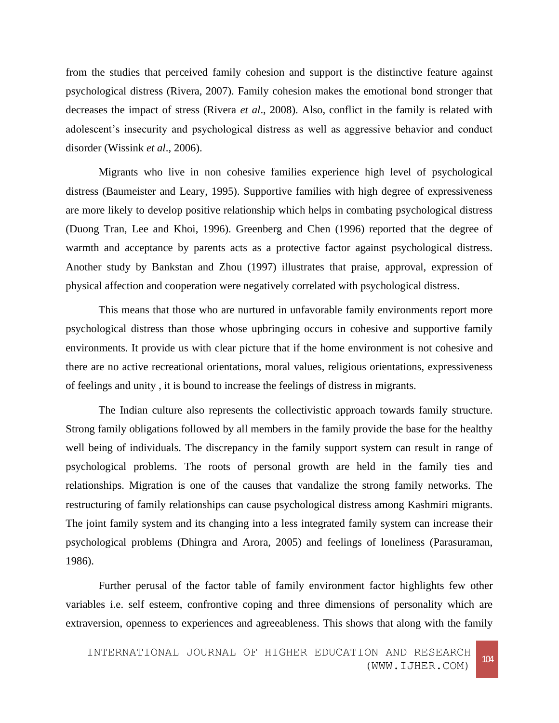from the studies that perceived family cohesion and support is the distinctive feature against psychological distress (Rivera, 2007). Family cohesion makes the emotional bond stronger that decreases the impact of stress (Rivera *et al*., 2008). Also, conflict in the family is related with adolescent's insecurity and psychological distress as well as aggressive behavior and conduct disorder (Wissink *et al*., 2006).

Migrants who live in non cohesive families experience high level of psychological distress (Baumeister and Leary, 1995). Supportive families with high degree of expressiveness are more likely to develop positive relationship which helps in combating psychological distress (Duong Tran, Lee and Khoi, 1996). Greenberg and Chen (1996) reported that the degree of warmth and acceptance by parents acts as a protective factor against psychological distress. Another study by Bankstan and Zhou (1997) illustrates that praise, approval, expression of physical affection and cooperation were negatively correlated with psychological distress.

This means that those who are nurtured in unfavorable family environments report more psychological distress than those whose upbringing occurs in cohesive and supportive family environments. It provide us with clear picture that if the home environment is not cohesive and there are no active recreational orientations, moral values, religious orientations, expressiveness of feelings and unity , it is bound to increase the feelings of distress in migrants.

The Indian culture also represents the collectivistic approach towards family structure. Strong family obligations followed by all members in the family provide the base for the healthy well being of individuals. The discrepancy in the family support system can result in range of psychological problems. The roots of personal growth are held in the family ties and relationships. Migration is one of the causes that vandalize the strong family networks. The restructuring of family relationships can cause psychological distress among Kashmiri migrants. The joint family system and its changing into a less integrated family system can increase their psychological problems (Dhingra and Arora, 2005) and feelings of loneliness (Parasuraman, 1986).

Further perusal of the factor table of family environment factor highlights few other variables i.e. self esteem, confrontive coping and three dimensions of personality which are extraversion, openness to experiences and agreeableness. This shows that along with the family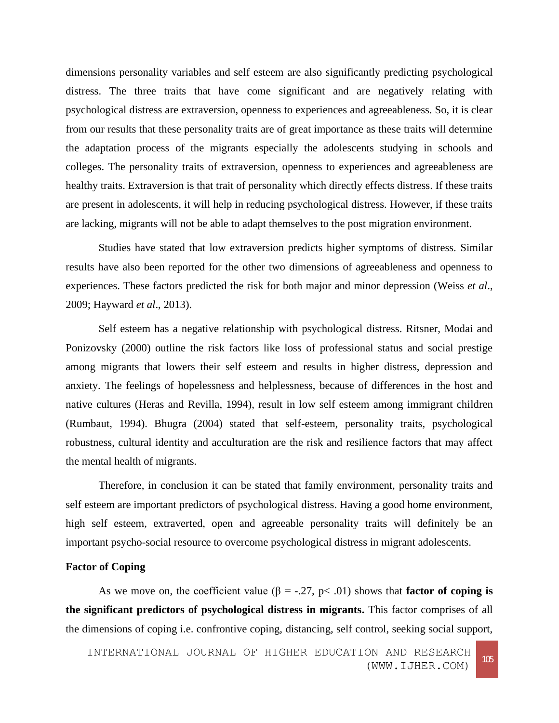dimensions personality variables and self esteem are also significantly predicting psychological distress. The three traits that have come significant and are negatively relating with psychological distress are extraversion, openness to experiences and agreeableness. So, it is clear from our results that these personality traits are of great importance as these traits will determine the adaptation process of the migrants especially the adolescents studying in schools and colleges. The personality traits of extraversion, openness to experiences and agreeableness are healthy traits. Extraversion is that trait of personality which directly effects distress. If these traits are present in adolescents, it will help in reducing psychological distress. However, if these traits are lacking, migrants will not be able to adapt themselves to the post migration environment.

Studies have stated that low extraversion predicts higher symptoms of distress. Similar results have also been reported for the other two dimensions of agreeableness and openness to experiences. These factors predicted the risk for both major and minor depression (Weiss *et al*., 2009; Hayward *et al*., 2013).

Self esteem has a negative relationship with psychological distress. Ritsner, Modai and Ponizovsky (2000) outline the risk factors like loss of professional status and social prestige among migrants that lowers their self esteem and results in higher distress, depression and anxiety. The feelings of hopelessness and helplessness, because of differences in the host and native cultures (Heras and Revilla, 1994), result in low self esteem among immigrant children (Rumbaut, 1994). Bhugra (2004) stated that self-esteem, personality traits, psychological robustness, cultural identity and acculturation are the risk and resilience factors that may affect the mental health of migrants.

Therefore, in conclusion it can be stated that family environment, personality traits and self esteem are important predictors of psychological distress. Having a good home environment, high self esteem, extraverted, open and agreeable personality traits will definitely be an important psycho-social resource to overcome psychological distress in migrant adolescents.

## **Factor of Coping**

As we move on, the coefficient value ( $\beta$  = -.27, p< .01) shows that **factor of coping is the significant predictors of psychological distress in migrants.** This factor comprises of all the dimensions of coping i.e. confrontive coping, distancing, self control, seeking social support,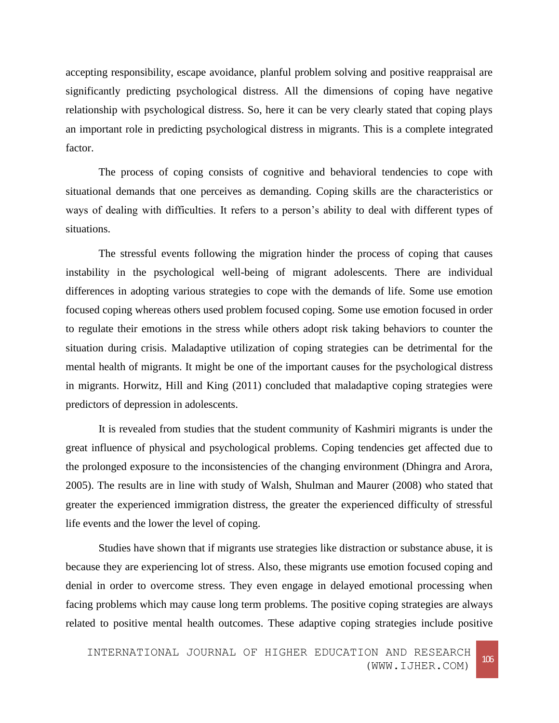accepting responsibility, escape avoidance, planful problem solving and positive reappraisal are significantly predicting psychological distress. All the dimensions of coping have negative relationship with psychological distress. So, here it can be very clearly stated that coping plays an important role in predicting psychological distress in migrants. This is a complete integrated factor.

The process of coping consists of cognitive and behavioral tendencies to cope with situational demands that one perceives as demanding. Coping skills are the characteristics or ways of dealing with difficulties. It refers to a person's ability to deal with different types of situations.

The stressful events following the migration hinder the process of coping that causes instability in the psychological well-being of migrant adolescents. There are individual differences in adopting various strategies to cope with the demands of life. Some use emotion focused coping whereas others used problem focused coping. Some use emotion focused in order to regulate their emotions in the stress while others adopt risk taking behaviors to counter the situation during crisis. Maladaptive utilization of coping strategies can be detrimental for the mental health of migrants. It might be one of the important causes for the psychological distress in migrants. Horwitz, Hill and King (2011) concluded that maladaptive coping strategies were predictors of depression in adolescents.

It is revealed from studies that the student community of Kashmiri migrants is under the great influence of physical and psychological problems. Coping tendencies get affected due to the prolonged exposure to the inconsistencies of the changing environment (Dhingra and Arora, 2005). The results are in line with study of Walsh, Shulman and Maurer (2008) who stated that greater the experienced immigration distress, the greater the experienced difficulty of stressful life events and the lower the level of coping.

Studies have shown that if migrants use strategies like distraction or substance abuse, it is because they are experiencing lot of stress. Also, these migrants use emotion focused coping and denial in order to overcome stress. They even engage in delayed emotional processing when facing problems which may cause long term problems. The positive coping strategies are always related to positive mental health outcomes. These adaptive coping strategies include positive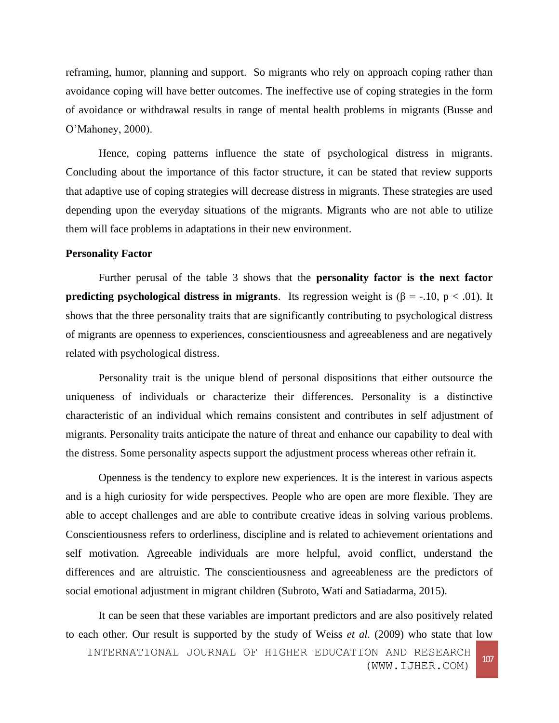reframing, humor, planning and support. So migrants who rely on approach coping rather than avoidance coping will have better outcomes. The ineffective use of coping strategies in the form of avoidance or withdrawal results in range of mental health problems in migrants (Busse and O'Mahoney, 2000).

Hence, coping patterns influence the state of psychological distress in migrants. Concluding about the importance of this factor structure, it can be stated that review supports that adaptive use of coping strategies will decrease distress in migrants. These strategies are used depending upon the everyday situations of the migrants. Migrants who are not able to utilize them will face problems in adaptations in their new environment.

## **Personality Factor**

Further perusal of the table 3 shows that the **personality factor is the next factor predicting psychological distress in migrants**. Its regression weight is  $(\beta = -10, p < .01)$ . It shows that the three personality traits that are significantly contributing to psychological distress of migrants are openness to experiences, conscientiousness and agreeableness and are negatively related with psychological distress.

Personality trait is the unique blend of personal dispositions that either outsource the uniqueness of individuals or characterize their differences. Personality is a distinctive characteristic of an individual which remains consistent and contributes in self adjustment of migrants. Personality traits anticipate the nature of threat and enhance our capability to deal with the distress. Some personality aspects support the adjustment process whereas other refrain it.

Openness is the tendency to explore new experiences. It is the interest in various aspects and is a high curiosity for wide perspectives. People who are open are more flexible. They are able to accept challenges and are able to contribute creative ideas in solving various problems. Conscientiousness refers to orderliness, discipline and is related to achievement orientations and self motivation. Agreeable individuals are more helpful, avoid conflict, understand the differences and are altruistic. The conscientiousness and agreeableness are the predictors of social emotional adjustment in migrant children (Subroto, Wati and Satiadarma, 2015).

It can be seen that these variables are important predictors and are also positively related to each other. Our result is supported by the study of Weiss *et al.* (2009) who state that low

INTERNATIONAL JOURNAL OF HIGHER EDUCATION AND RESEARCH (WWW.IJHER.COM) <sup>107</sup>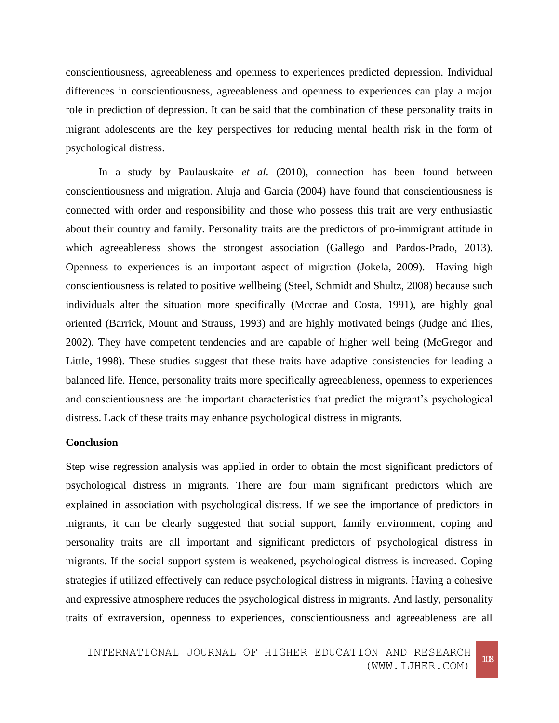conscientiousness, agreeableness and openness to experiences predicted depression. Individual differences in conscientiousness, agreeableness and openness to experiences can play a major role in prediction of depression. It can be said that the combination of these personality traits in migrant adolescents are the key perspectives for reducing mental health risk in the form of psychological distress.

In a study by Paulauskaite *et al*. (2010), connection has been found between conscientiousness and migration. Aluja and Garcia (2004) have found that conscientiousness is connected with order and responsibility and those who possess this trait are very enthusiastic about their country and family. Personality traits are the predictors of pro-immigrant attitude in which agreeableness shows the strongest association (Gallego and Pardos-Prado, 2013). Openness to experiences is an important aspect of migration (Jokela, 2009). Having high conscientiousness is related to positive wellbeing (Steel, Schmidt and Shultz, 2008) because such individuals alter the situation more specifically (Mccrae and Costa, 1991), are highly goal oriented (Barrick, Mount and Strauss, 1993) and are highly motivated beings (Judge and Ilies, 2002). They have competent tendencies and are capable of higher well being (McGregor and Little, 1998). These studies suggest that these traits have adaptive consistencies for leading a balanced life. Hence, personality traits more specifically agreeableness, openness to experiences and conscientiousness are the important characteristics that predict the migrant's psychological distress. Lack of these traits may enhance psychological distress in migrants.

## **Conclusion**

Step wise regression analysis was applied in order to obtain the most significant predictors of psychological distress in migrants. There are four main significant predictors which are explained in association with psychological distress. If we see the importance of predictors in migrants, it can be clearly suggested that social support, family environment, coping and personality traits are all important and significant predictors of psychological distress in migrants. If the social support system is weakened, psychological distress is increased. Coping strategies if utilized effectively can reduce psychological distress in migrants. Having a cohesive and expressive atmosphere reduces the psychological distress in migrants. And lastly, personality traits of extraversion, openness to experiences, conscientiousness and agreeableness are all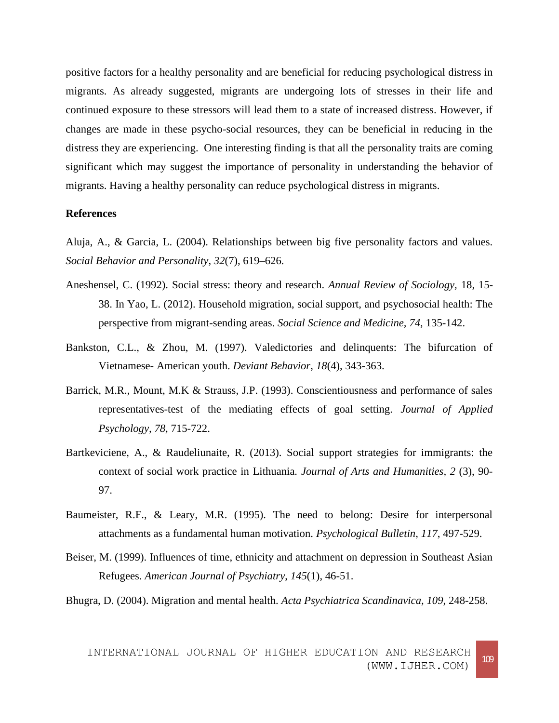positive factors for a healthy personality and are beneficial for reducing psychological distress in migrants. As already suggested, migrants are undergoing lots of stresses in their life and continued exposure to these stressors will lead them to a state of increased distress. However, if changes are made in these psycho-social resources, they can be beneficial in reducing in the distress they are experiencing. One interesting finding is that all the personality traits are coming significant which may suggest the importance of personality in understanding the behavior of migrants. Having a healthy personality can reduce psychological distress in migrants.

## **References**

Aluja, A., & Garcia, L. (2004). Relationships between big five personality factors and values. *Social Behavior and Personality*, *32*(7), 619–626.

- Aneshensel, C. (1992). Social stress: theory and research. *Annual Review of Sociology,* 18, 15- 38. In Yao, L. (2012). Household migration, social support, and psychosocial health: The perspective from migrant-sending areas. *Social Science and Medicine, 74*, 135-142.
- Bankston, C.L., & Zhou, M. (1997). Valedictories and delinquents: The bifurcation of Vietnamese- American youth. *Deviant Behavior*, *18*(4), 343-363.
- Barrick, M.R., Mount, M.K & Strauss, J.P. (1993). Conscientiousness and performance of sales representatives-test of the mediating effects of goal setting. *Journal of Applied Psychology, 78*, 715-722.
- Bartkeviciene, A., & Raudeliunaite, R. (2013). Social support strategies for immigrants: the context of social work practice in Lithuania*. Journal of Arts and Humanities, 2* (3), 90- 97.
- Baumeister, R.F., & Leary, M.R. (1995). The need to belong: Desire for interpersonal attachments as a fundamental human motivation. *Psychological Bulletin*, *117*, 497-529.
- Beiser, M. (1999). Influences of time, ethnicity and attachment on depression in Southeast Asian Refugees. *American Journal of Psychiatry*, *145*(1), 46-51.

Bhugra, D. (2004). Migration and mental health. *Acta Psychiatrica Scandinavica, 109*, 248-258.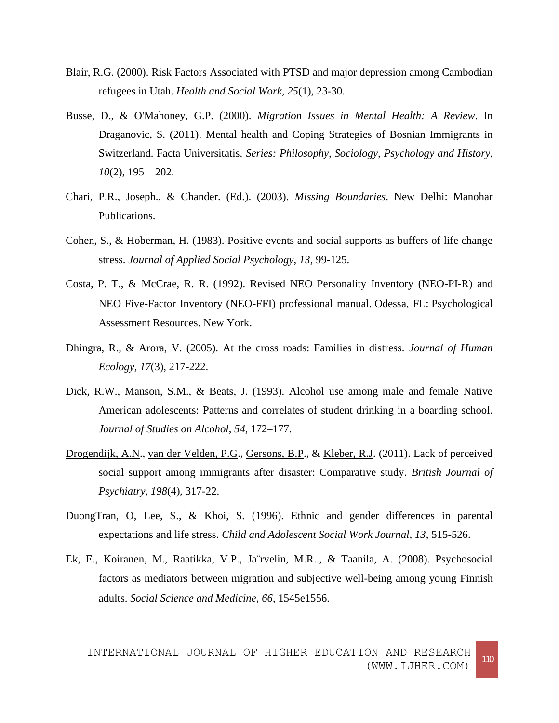- Blair, R.G. (2000). Risk Factors Associated with PTSD and major depression among Cambodian refugees in Utah. *Health and Social Work, 25*(1), 23-30.
- Busse, D., & O'Mahoney, G.P. (2000). *Migration Issues in Mental Health: A Review*. In Draganovic, S. (2011). Mental health and Coping Strategies of Bosnian Immigrants in Switzerland. Facta Universitatis. *Series: Philosophy, Sociology, Psychology and History*, *10*(2), 195 – 202.
- Chari, P.R., Joseph., & Chander. (Ed.). (2003). *Missing Boundaries*. New Delhi: Manohar Publications.
- Cohen, S., & Hoberman, H. (1983). Positive events and social supports as buffers of life change stress. *Journal of Applied Social Psychology*, *13*, 99-125.
- Costa, P. T., & McCrae, R. R. (1992). Revised NEO Personality Inventory (NEO-PI-R) and NEO Five-Factor Inventory (NEO-FFI) professional manual. Odessa, FL: Psychological Assessment Resources. New York.
- Dhingra, R., & Arora, V. (2005). At the cross roads: Families in distress*. Journal of Human Ecology, 17*(3), 217-222.
- Dick, R.W., Manson, S.M., & Beats, J. (1993). Alcohol use among male and female Native American adolescents: Patterns and correlates of student drinking in a boarding school. *Journal of Studies on Alcohol*, *54*, 172–177.
- [Drogendijk, A.N.](http://www.ncbi.nlm.nih.gov/pubmed/?term=Drogendijk%20AN%5BAuthor%5D&cauthor=true&cauthor_uid=21972280), [van der Velden, P.G.](http://www.ncbi.nlm.nih.gov/pubmed/?term=van%20der%20Velden%20PG%5BAuthor%5D&cauthor=true&cauthor_uid=21972280), [Gersons, B.P.](http://www.ncbi.nlm.nih.gov/pubmed/?term=Gersons%20BP%5BAuthor%5D&cauthor=true&cauthor_uid=21972280), & [Kleber, R.J.](http://www.ncbi.nlm.nih.gov/pubmed/?term=Kleber%20RJ%5BAuthor%5D&cauthor=true&cauthor_uid=21972280) (2011). Lack of perceived social support among immigrants after disaster: Comparative study. *British Journal of Psychiatry*, *198*(4), 317-22.
- DuongTran, O, Lee, S., & Khoi, S. (1996). Ethnic and gender differences in parental expectations and life stress. *Child and Adolescent Social Work Journal, 13*, 515-526.
- Ek, E., Koiranen, M., Raatikka, V.P., Ja¨rvelin, M.R.., & Taanila, A. (2008). Psychosocial factors as mediators between migration and subjective well-being among young Finnish adults. *Social Science and Medicine, 66*, 1545e1556.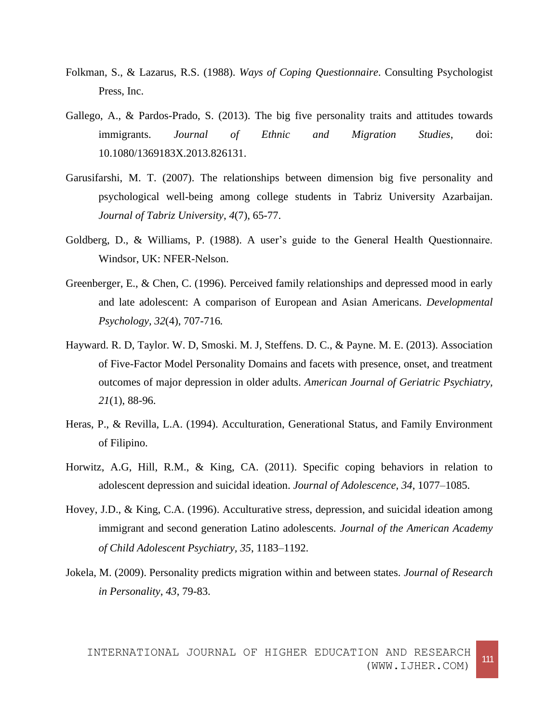- Folkman, S., & Lazarus, R.S. (1988). *Ways of Coping Questionnaire*. Consulting Psychologist Press, Inc.
- Gallego, A., & Pardos-Prado, S. (2013). The big five personality traits and attitudes towards immigrants. *Journal of Ethnic and Migration Studies*, doi: 10.1080/1369183X.2013.826131.
- Garusifarshi, M. T. (2007). The relationships between dimension big five personality and psychological well-being among college students in Tabriz University Azarbaijan. *Journal of Tabriz University*, *4*(7), 65-77.
- Goldberg, D., & Williams, P. (1988). A user's guide to the General Health Questionnaire. Windsor, UK: NFER-Nelson.
- Greenberger, E., & Chen, C. (1996). Perceived family relationships and depressed mood in early and late adolescent: A comparison of European and Asian Americans. *Developmental Psychology, 32*(4), 707-716*.*
- Hayward. R. D, Taylor. W. D, Smoski. M. J, Steffens. D. C., & Payne. M. E. (2013). Association of Five-Factor Model Personality Domains and facets with presence, onset, and treatment outcomes of major depression in older adults. *American Journal of Geriatric Psychiatry, 21*(1), 88-96.
- Heras, P., & Revilla, L.A. (1994). Acculturation, Generational Status, and Family Environment of Filipino.
- Horwitz, A.G, Hill, R.M., & King, CA. (2011). Specific coping behaviors in relation to adolescent depression and suicidal ideation. *Journal of Adolescence, 34*, 1077–1085.
- Hovey, J.D., & King, C.A. (1996). Acculturative stress, depression, and suicidal ideation among immigrant and second generation Latino adolescents*. Journal of the American Academy of Child Adolescent Psychiatry, 35*, 1183–1192.
- Jokela, M. (2009). Personality predicts migration within and between states. *Journal of Research in Personality*, *43*, 79-83.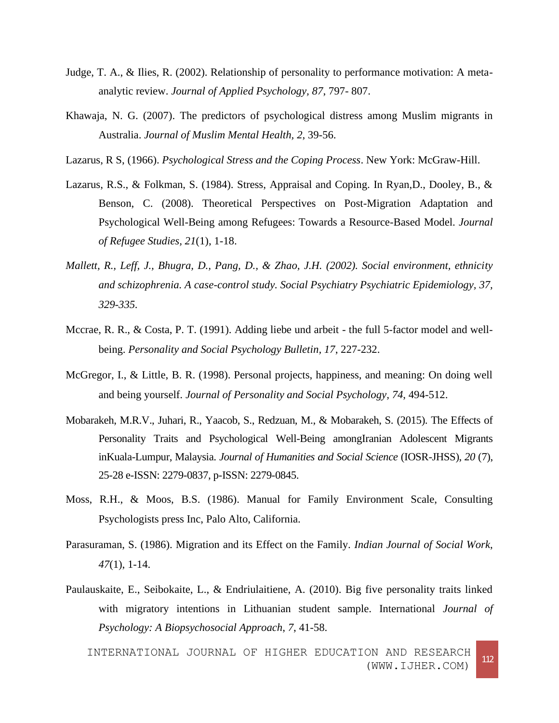- Judge, T. A., & Ilies, R. (2002). Relationship of personality to performance motivation: A metaanalytic review. *Journal of Applied Psychology, 87*, 797- 807.
- Khawaja, N. G. (2007). The predictors of psychological distress among Muslim migrants in Australia. *Journal of Muslim Mental Health, 2*, 39-56.
- Lazarus, R S, (1966). *Psychological Stress and the Coping Process*. New York: McGraw-Hill.
- Lazarus, R.S., & Folkman, S. (1984). Stress, Appraisal and Coping. In Ryan,D., Dooley, B., & Benson, C. (2008). Theoretical Perspectives on Post-Migration Adaptation and Psychological Well-Being among Refugees: Towards a Resource-Based Model. *Journal of Refugee Studies, 21*(1), 1-18.
- *Mallett, R., Leff, J., Bhugra, D., Pang, D., & Zhao, J.H. (2002). Social environment, ethnicity and schizophrenia. A case-control study. Social Psychiatry Psychiatric Epidemiology, 37, 329-335.*
- Mccrae, R. R., & Costa, P. T. (1991). Adding liebe und arbeit the full 5-factor model and wellbeing. *Personality and Social Psychology Bulletin, 17*, 227-232.
- McGregor, I., & Little, B. R. (1998). Personal projects, happiness, and meaning: On doing well and being yourself. *Journal of Personality and Social Psychology, 74*, 494-512.
- Mobarakeh, M.R.V., Juhari, R., Yaacob, S., Redzuan, M., & Mobarakeh, S. (2015). The Effects of Personality Traits and Psychological Well-Being amongIranian Adolescent Migrants inKuala-Lumpur, Malaysia. *Journal of Humanities and Social Science* (IOSR-JHSS), *20* (7), 25-28 e-ISSN: 2279-0837, p-ISSN: 2279-0845.
- Moss, R.H., & Moos, B.S. (1986). Manual for Family Environment Scale, Consulting Psychologists press Inc, Palo Alto, California.
- Parasuraman, S. (1986). Migration and its Effect on the Family. *Indian Journal of Social Work*, *47*(1), 1-14.
- Paulauskaite, E., Seibokaite, L., & Endriulaitiene, A. (2010). Big five personality traits linked with migratory intentions in Lithuanian student sample. International *Journal of Psychology: A Biopsychosocial Approach*, *7*, 41-58.

INTERNATIONAL JOURNAL OF HIGHER EDUCATION AND RESEARCH (WWW.IJHER.COM) <sup>112</sup>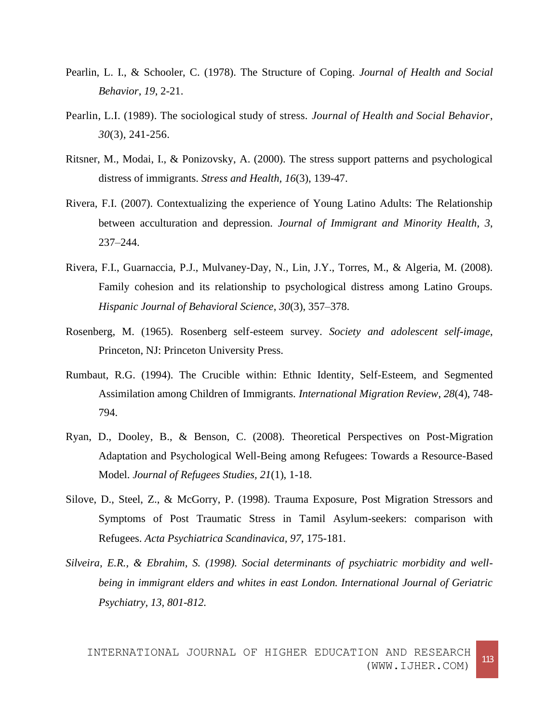- Pearlin, L. I., & Schooler, C. (1978). The Structure of Coping. *Journal of Health and Social Behavior*, *19*, 2-21.
- Pearlin, L.I. (1989). The sociological study of stress. *Journal of Health and Social Behavior*, *30*(3), 241-256.
- Ritsner, M., Modai, I., & Ponizovsky, A. (2000). The stress support patterns and psychological distress of immigrants. *Stress and Health, 16*(3), 139-47.
- Rivera, F.I. (2007). Contextualizing the experience of Young Latino Adults: The Relationship between acculturation and depression. *Journal of Immigrant and Minority Health*, *3*, 237–244.
- Rivera, F.I., Guarnaccia, P.J., Mulvaney-Day, N., Lin, J.Y., Torres, M., & Algeria, M. (2008). Family cohesion and its relationship to psychological distress among Latino Groups. *Hispanic Journal of Behavioral Science*, *30*(3), 357–378.
- Rosenberg, M. (1965). Rosenberg self-esteem survey. *Society and adolescent self-image*, Princeton, NJ: Princeton University Press.
- Rumbaut, R.G. (1994). The Crucible within: Ethnic Identity, Self-Esteem, and Segmented Assimilation among Children of Immigrants. *International Migration Review*, *28*(4), 748- 794.
- Ryan, D., Dooley, B., & Benson, C. (2008). Theoretical Perspectives on Post-Migration Adaptation and Psychological Well-Being among Refugees: Towards a Resource-Based Model. *Journal of Refugees Studies, 21*(1), 1-18.
- Silove, D., Steel, Z., & McGorry, P. (1998). Trauma Exposure, Post Migration Stressors and Symptoms of Post Traumatic Stress in Tamil Asylum-seekers: comparison with Refugees. *Acta Psychiatrica Scandinavica, 97*, 175-181.
- *Silveira, E.R., & Ebrahim, S. (1998). Social determinants of psychiatric morbidity and wellbeing in immigrant elders and whites in east London. International Journal of Geriatric Psychiatry, 13, 801-812.*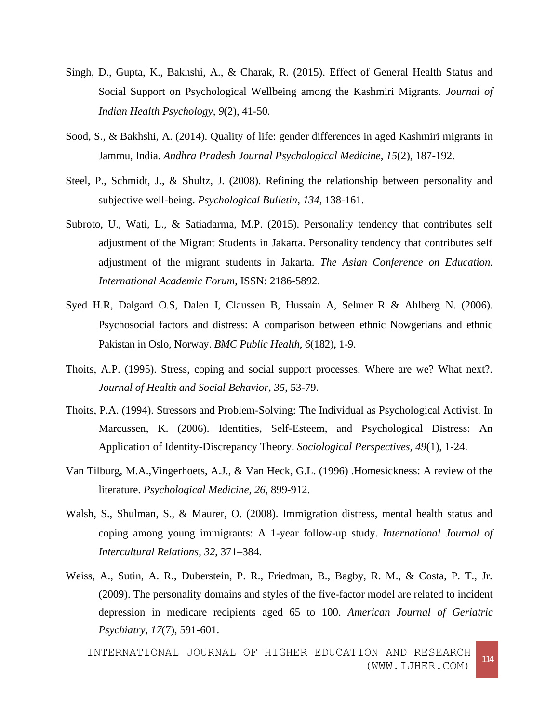- Singh, D., Gupta, K., Bakhshi, A., & Charak, R. (2015). Effect of General Health Status and Social Support on Psychological Wellbeing among the Kashmiri Migrants. *Journal of Indian Health Psychology, 9*(2), 41-50*.*
- Sood, S., & Bakhshi, A. (2014). Quality of life: gender differences in aged Kashmiri migrants in Jammu, India. *Andhra Pradesh Journal Psychological Medicine, 15*(2), 187-192.
- Steel, P., Schmidt, J., & Shultz, J. (2008). Refining the relationship between personality and subjective well-being. *Psychological Bulletin, 134*, 138-161.
- Subroto, U., Wati, L., & Satiadarma, M.P. (2015). Personality tendency that contributes self adjustment of the Migrant Students in Jakarta. Personality tendency that contributes self adjustment of the migrant students in Jakarta. *The Asian Conference on Education. International Academic Forum*, ISSN: 2186-5892.
- Syed H.R, Dalgard O.S, Dalen I, Claussen B, Hussain A, Selmer R & Ahlberg N. (2006). Psychosocial factors and distress: A comparison between ethnic Nowgerians and ethnic Pakistan in Oslo, Norway. *BMC Public Health, 6*(182), 1-9.
- Thoits, A.P. (1995). Stress, coping and social support processes. Where are we? What next?. *Journal of Health and Social Behavior, 35*, 53-79.
- Thoits, P.A. (1994). Stressors and Problem-Solving: The Individual as Psychological Activist. In Marcussen, K. (2006). Identities, Self-Esteem, and Psychological Distress: An Application of Identity-Discrepancy Theory. *Sociological Perspectives, 49*(1), 1-24.
- Van Tilburg, M.A.,Vingerhoets, A.J., & Van Heck, G.L. (1996) .Homesickness: A review of the literature. *Psychological Medicine, 26,* 899-912.
- Walsh, S., Shulman, S., & Maurer, O. (2008). Immigration distress, mental health status and coping among young immigrants: A 1-year follow-up study. *International Journal of Intercultural Relations*, *32*, 371–384.
- Weiss, A., Sutin, A. R., Duberstein, P. R., Friedman, B., Bagby, R. M., & Costa, P. T., Jr. (2009). The personality domains and styles of the five-factor model are related to incident depression in medicare recipients aged 65 to 100. *American Journal of Geriatric Psychiatry, 17*(7), 591-601.